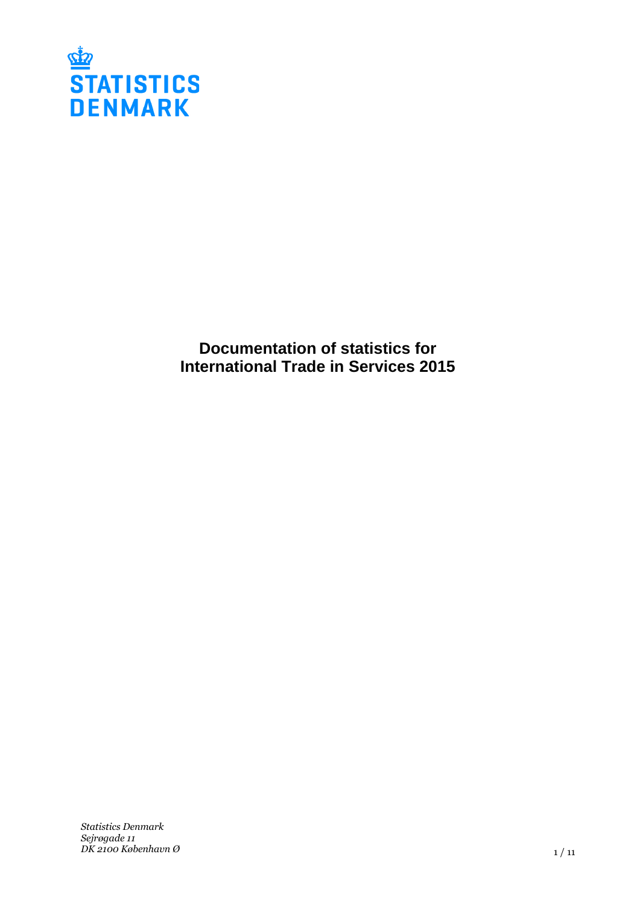

**Documentation of statistics for International Trade in Services 2015**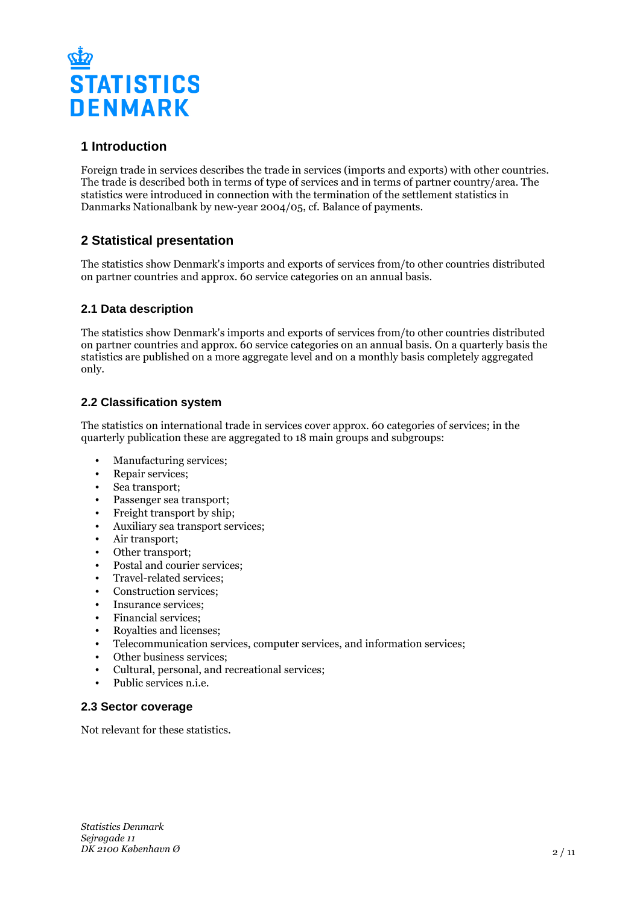

# **1 Introduction**

Foreign trade in services describes the trade in services (imports and exports) with other countries. The trade is described both in terms of type of services and in terms of partner country/area. The statistics were introduced in connection with the termination of the settlement statistics in Danmarks Nationalbank by new-year 2004/05, cf. Balance of payments.

# **2 Statistical presentation**

The statistics show Denmark's imports and exports of services from/to other countries distributed on partner countries and approx. 60 service categories on an annual basis.

## **2.1 Data description**

The statistics show Denmark's imports and exports of services from/to other countries distributed on partner countries and approx. 60 service categories on an annual basis. On a quarterly basis the statistics are published on a more aggregate level and on a monthly basis completely aggregated only.

## **2.2 Classification system**

The statistics on international trade in services cover approx. 60 categories of services; in the quarterly publication these are aggregated to 18 main groups and subgroups:

- Manufacturing services;
- Repair services:
- Sea transport;
- Passenger sea transport;
- Freight transport by ship;
- Auxiliary sea transport services;
- Air transport;
- Other transport;
- Postal and courier services;
- Travel-related services;
- Construction services;
- Insurance services;
- Financial services;
- Royalties and licenses;
- Telecommunication services, computer services, and information services;
- Other business services:
- Cultural, personal, and recreational services;
- Public services n.i.e.

## **2.3 Sector coverage**

Not relevant for these statistics.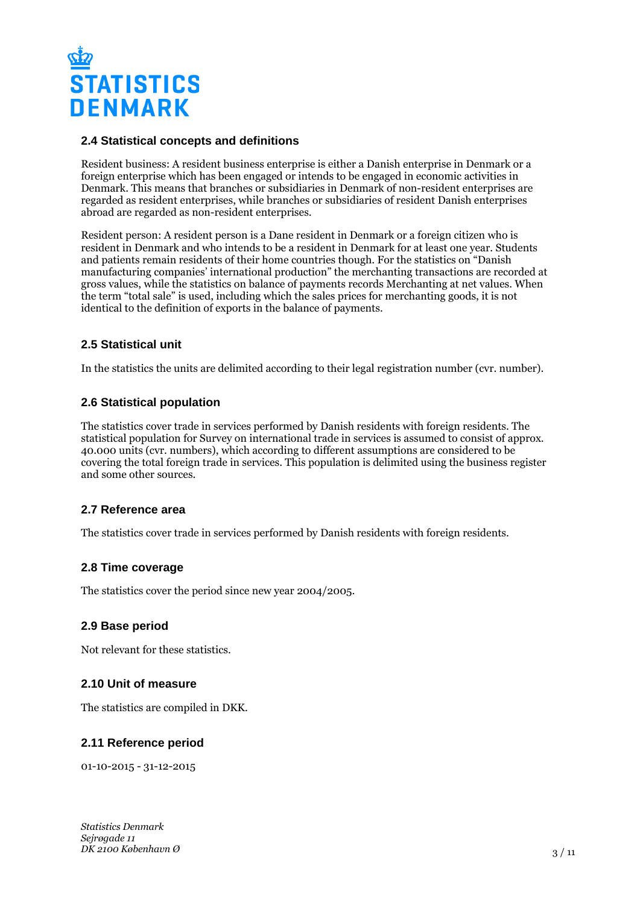

#### **2.4 Statistical concepts and definitions**

Resident business: A resident business enterprise is either a Danish enterprise in Denmark or a foreign enterprise which has been engaged or intends to be engaged in economic activities in Denmark. This means that branches or subsidiaries in Denmark of non-resident enterprises are regarded as resident enterprises, while branches or subsidiaries of resident Danish enterprises abroad are regarded as non-resident enterprises.

Resident person: A resident person is a Dane resident in Denmark or a foreign citizen who is resident in Denmark and who intends to be a resident in Denmark for at least one year. Students and patients remain residents of their home countries though. For the statistics on "Danish manufacturing companies' international production" the merchanting transactions are recorded at gross values, while the statistics on balance of payments records Merchanting at net values. When the term "total sale" is used, including which the sales prices for merchanting goods, it is not identical to the definition of exports in the balance of payments.

#### **2.5 Statistical unit**

In the statistics the units are delimited according to their legal registration number (cvr. number).

#### **2.6 Statistical population**

The statistics cover trade in services performed by Danish residents with foreign residents. The statistical population for Survey on international trade in services is assumed to consist of approx. 40.000 units (cvr. numbers), which according to different assumptions are considered to be covering the total foreign trade in services. This population is delimited using the business register and some other sources.

#### **2.7 Reference area**

The statistics cover trade in services performed by Danish residents with foreign residents.

## **2.8 Time coverage**

The statistics cover the period since new year 2004/2005.

#### **2.9 Base period**

Not relevant for these statistics.

#### **2.10 Unit of measure**

The statistics are compiled in DKK.

## **2.11 Reference period**

01-10-2015 - 31-12-2015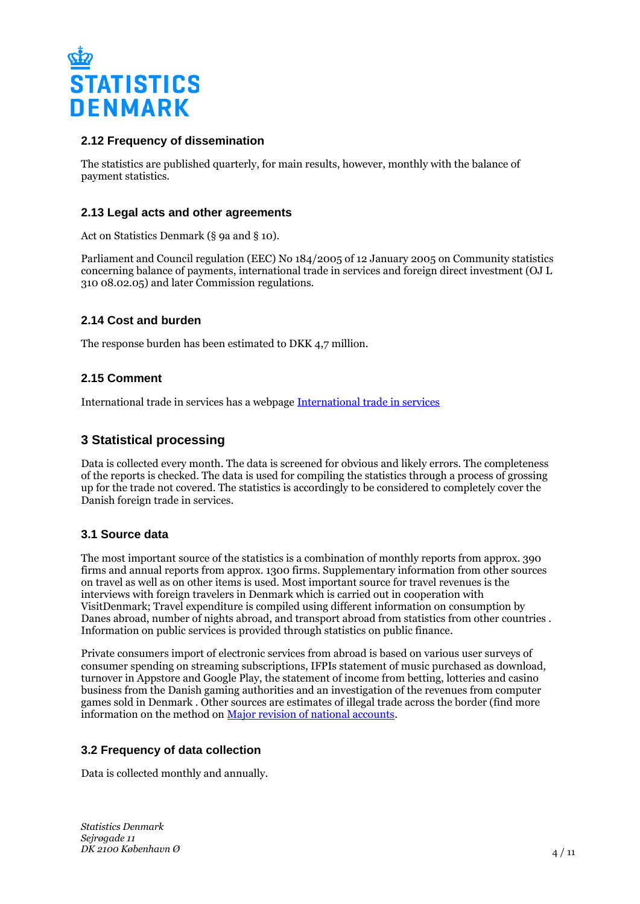

## **2.12 Frequency of dissemination**

The statistics are published quarterly, for main results, however, monthly with the balance of payment statistics.

## **2.13 Legal acts and other agreements**

Act on Statistics Denmark (§ 9a and § 10).

Parliament and Council regulation (EEC) No 184/2005 of 12 January 2005 on Community statistics concerning balance of payments, international trade in services and foreign direct investment (OJ L 310 08.02.05) and later Commission regulations.

## **2.14 Cost and burden**

The response burden has been estimated to DKK 4,7 million.

## **2.15 Comment**

International trade in services has a webpage [International trade in services](https://www.dst.dk/en/Statistik/emner/udenrigshandel/udenrigshandel-med-tjenester.aspx)

# **3 Statistical processing**

Data is collected every month. The data is screened for obvious and likely errors. The completeness of the reports is checked. The data is used for compiling the statistics through a process of grossing up for the trade not covered. The statistics is accordingly to be considered to completely cover the Danish foreign trade in services.

## **3.1 Source data**

The most important source of the statistics is a combination of monthly reports from approx. 390 firms and annual reports from approx. 1300 firms. Supplementary information from other sources on travel as well as on other items is used. Most important source for travel revenues is the interviews with foreign travelers in Denmark which is carried out in cooperation with VisitDenmark; Travel expenditure is compiled using different information on consumption by Danes abroad, number of nights abroad, and transport abroad from statistics from other countries . Information on public services is provided through statistics on public finance.

Private consumers import of electronic services from abroad is based on various user surveys of consumer spending on streaming subscriptions, IFPIs statement of music purchased as download, turnover in Appstore and Google Play, the statement of income from betting, lotteries and casino business from the Danish gaming authorities and an investigation of the revenues from computer games sold in Denmark . Other sources are estimates of illegal trade across the border (find more information on the method on [Major revision of national accounts](https://www.dst.dk/en/Statistik/dokumentation/hovedrevideret-nationalregnskab).

## **3.2 Frequency of data collection**

Data is collected monthly and annually.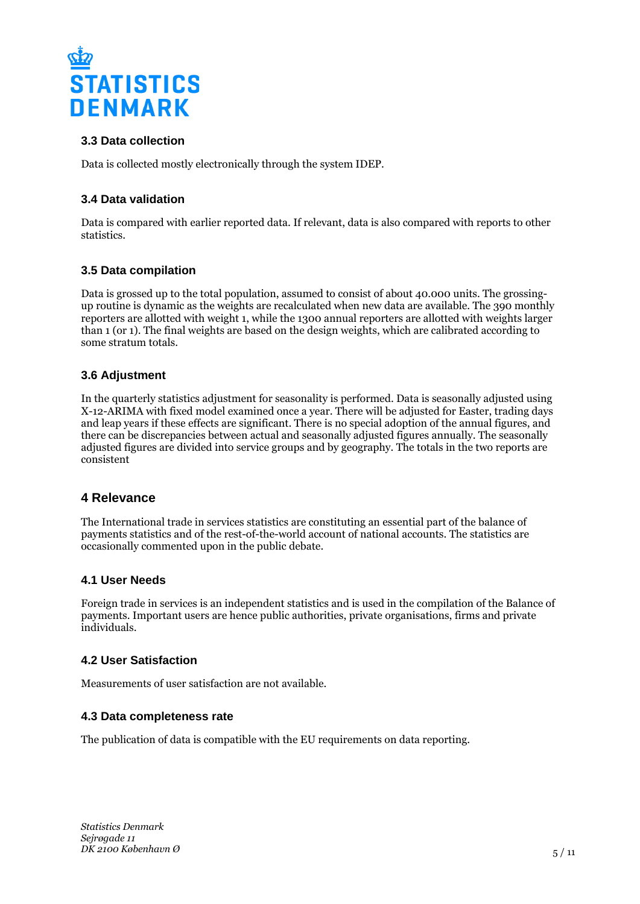

# **3.3 Data collection**

Data is collected mostly electronically through the system IDEP.

## **3.4 Data validation**

Data is compared with earlier reported data. If relevant, data is also compared with reports to other statistics.

# **3.5 Data compilation**

Data is grossed up to the total population, assumed to consist of about 40.000 units. The grossingup routine is dynamic as the weights are recalculated when new data are available. The 390 monthly reporters are allotted with weight 1, while the 1300 annual reporters are allotted with weights larger than 1 (or 1). The final weights are based on the design weights, which are calibrated according to some stratum totals.

## **3.6 Adjustment**

In the quarterly statistics adjustment for seasonality is performed. Data is seasonally adjusted using X-12-ARIMA with fixed model examined once a year. There will be adjusted for Easter, trading days and leap years if these effects are significant. There is no special adoption of the annual figures, and there can be discrepancies between actual and seasonally adjusted figures annually. The seasonally adjusted figures are divided into service groups and by geography. The totals in the two reports are consistent

# **4 Relevance**

The International trade in services statistics are constituting an essential part of the balance of payments statistics and of the rest-of-the-world account of national accounts. The statistics are occasionally commented upon in the public debate.

#### **4.1 User Needs**

Foreign trade in services is an independent statistics and is used in the compilation of the Balance of payments. Important users are hence public authorities, private organisations, firms and private individuals.

## **4.2 User Satisfaction**

Measurements of user satisfaction are not available.

#### **4.3 Data completeness rate**

The publication of data is compatible with the EU requirements on data reporting.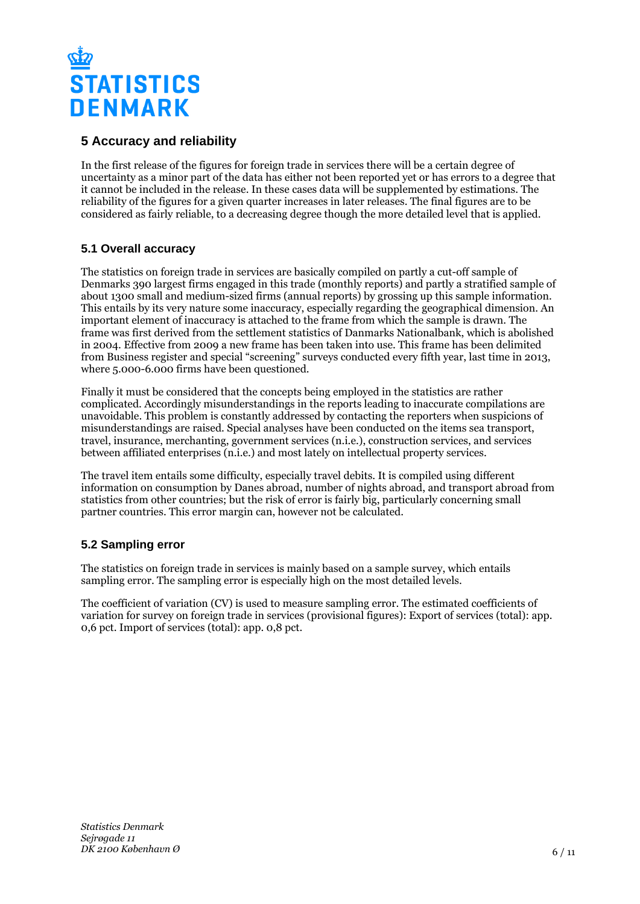

# **5 Accuracy and reliability**

In the first release of the figures for foreign trade in services there will be a certain degree of uncertainty as a minor part of the data has either not been reported yet or has errors to a degree that it cannot be included in the release. In these cases data will be supplemented by estimations. The reliability of the figures for a given quarter increases in later releases. The final figures are to be considered as fairly reliable, to a decreasing degree though the more detailed level that is applied.

# **5.1 Overall accuracy**

The statistics on foreign trade in services are basically compiled on partly a cut-off sample of Denmarks 390 largest firms engaged in this trade (monthly reports) and partly a stratified sample of about 1300 small and medium-sized firms (annual reports) by grossing up this sample information. This entails by its very nature some inaccuracy, especially regarding the geographical dimension. An important element of inaccuracy is attached to the frame from which the sample is drawn. The frame was first derived from the settlement statistics of Danmarks Nationalbank, which is abolished in 2004. Effective from 2009 a new frame has been taken into use. This frame has been delimited from Business register and special "screening" surveys conducted every fifth year, last time in 2013, where 5.000-6.000 firms have been questioned.

Finally it must be considered that the concepts being employed in the statistics are rather complicated. Accordingly misunderstandings in the reports leading to inaccurate compilations are unavoidable. This problem is constantly addressed by contacting the reporters when suspicions of misunderstandings are raised. Special analyses have been conducted on the items sea transport, travel, insurance, merchanting, government services (n.i.e.), construction services, and services between affiliated enterprises (n.i.e.) and most lately on intellectual property services.

The travel item entails some difficulty, especially travel debits. It is compiled using different information on consumption by Danes abroad, number of nights abroad, and transport abroad from statistics from other countries; but the risk of error is fairly big, particularly concerning small partner countries. This error margin can, however not be calculated.

## **5.2 Sampling error**

The statistics on foreign trade in services is mainly based on a sample survey, which entails sampling error. The sampling error is especially high on the most detailed levels.

The coefficient of variation (CV) is used to measure sampling error. The estimated coefficients of variation for survey on foreign trade in services (provisional figures): Export of services (total): app. 0,6 pct. Import of services (total): app. 0,8 pct.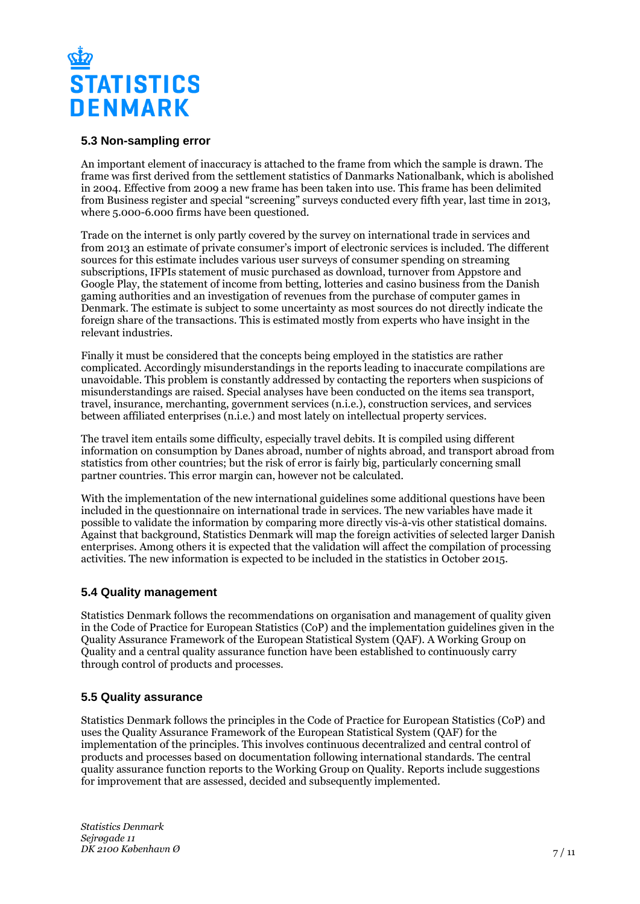

## **5.3 Non-sampling error**

An important element of inaccuracy is attached to the frame from which the sample is drawn. The frame was first derived from the settlement statistics of Danmarks Nationalbank, which is abolished in 2004. Effective from 2009 a new frame has been taken into use. This frame has been delimited from Business register and special "screening" surveys conducted every fifth year, last time in 2013, where 5.000-6.000 firms have been questioned.

Trade on the internet is only partly covered by the survey on international trade in services and from 2013 an estimate of private consumer's import of electronic services is included. The different sources for this estimate includes various user surveys of consumer spending on streaming subscriptions, IFPIs statement of music purchased as download, turnover from Appstore and Google Play, the statement of income from betting, lotteries and casino business from the Danish gaming authorities and an investigation of revenues from the purchase of computer games in Denmark. The estimate is subject to some uncertainty as most sources do not directly indicate the foreign share of the transactions. This is estimated mostly from experts who have insight in the relevant industries.

Finally it must be considered that the concepts being employed in the statistics are rather complicated. Accordingly misunderstandings in the reports leading to inaccurate compilations are unavoidable. This problem is constantly addressed by contacting the reporters when suspicions of misunderstandings are raised. Special analyses have been conducted on the items sea transport, travel, insurance, merchanting, government services (n.i.e.), construction services, and services between affiliated enterprises (n.i.e.) and most lately on intellectual property services.

The travel item entails some difficulty, especially travel debits. It is compiled using different information on consumption by Danes abroad, number of nights abroad, and transport abroad from statistics from other countries; but the risk of error is fairly big, particularly concerning small partner countries. This error margin can, however not be calculated.

With the implementation of the new international guidelines some additional questions have been included in the questionnaire on international trade in services. The new variables have made it possible to validate the information by comparing more directly vis-à-vis other statistical domains. Against that background, Statistics Denmark will map the foreign activities of selected larger Danish enterprises. Among others it is expected that the validation will affect the compilation of processing activities. The new information is expected to be included in the statistics in October 2015.

## **5.4 Quality management**

Statistics Denmark follows the recommendations on organisation and management of quality given in the Code of Practice for European Statistics (CoP) and the implementation guidelines given in the Quality Assurance Framework of the European Statistical System (QAF). A Working Group on Quality and a central quality assurance function have been established to continuously carry through control of products and processes.

## **5.5 Quality assurance**

Statistics Denmark follows the principles in the Code of Practice for European Statistics (CoP) and uses the Quality Assurance Framework of the European Statistical System (QAF) for the implementation of the principles. This involves continuous decentralized and central control of products and processes based on documentation following international standards. The central quality assurance function reports to the Working Group on Quality. Reports include suggestions for improvement that are assessed, decided and subsequently implemented.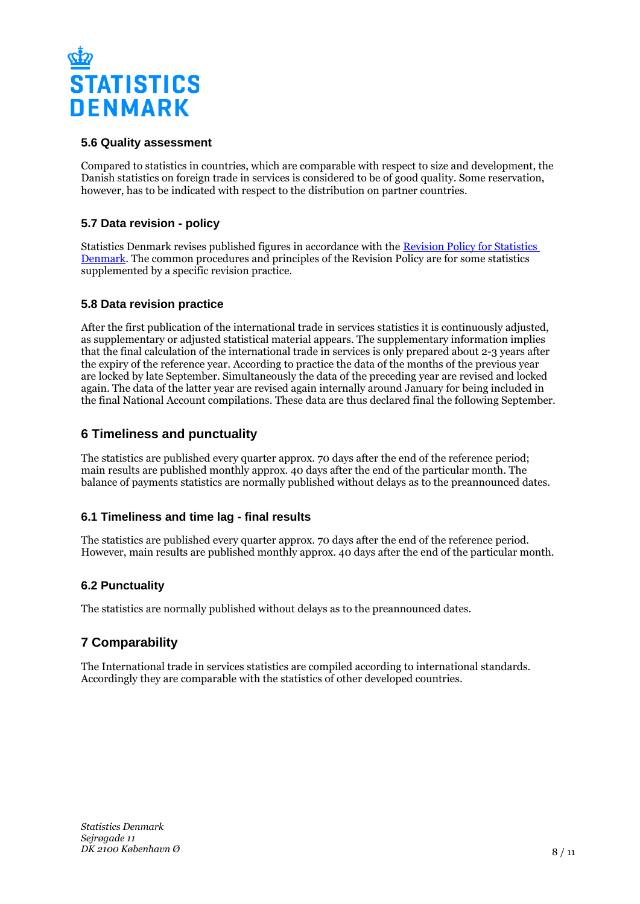

## **5.6 Quality assessment**

Compared to statistics in countries, which are comparable with respect to size and development, the Danish statistics on foreign trade in services is considered to be of good quality. Some reservation, however, has to be indicated with respect to the distribution on partner countries.

# **5.7 Data revision - policy**

Statistics Denmark revises published figures in accordance with the [Revision Policy for Statistics](https://www.dst.dk/en/OmDS/strategi-og-kvalitet/revisionspolitik.aspx)  [Denmark.](https://www.dst.dk/en/OmDS/strategi-og-kvalitet/revisionspolitik.aspx) The common procedures and principles of the Revision Policy are for some statistics supplemented by a specific revision practice.

## **5.8 Data revision practice**

After the first publication of the international trade in services statistics it is continuously adjusted, as supplementary or adjusted statistical material appears. The supplementary information implies that the final calculation of the international trade in services is only prepared about 2-3 years after the expiry of the reference year. According to practice the data of the months of the previous year are locked by late September. Simultaneously the data of the preceding year are revised and locked again. The data of the latter year are revised again internally around January for being included in the final National Account compilations. These data are thus declared final the following September.

# **6 Timeliness and punctuality**

The statistics are published every quarter approx. 70 days after the end of the reference period; main results are published monthly approx. 40 days after the end of the particular month. The balance of payments statistics are normally published without delays as to the preannounced dates.

## **6.1 Timeliness and time lag - final results**

The statistics are published every quarter approx. 70 days after the end of the reference period. However, main results are published monthly approx. 40 days after the end of the particular month.

## **6.2 Punctuality**

The statistics are normally published without delays as to the preannounced dates.

# **7 Comparability**

The International trade in services statistics are compiled according to international standards. Accordingly they are comparable with the statistics of other developed countries.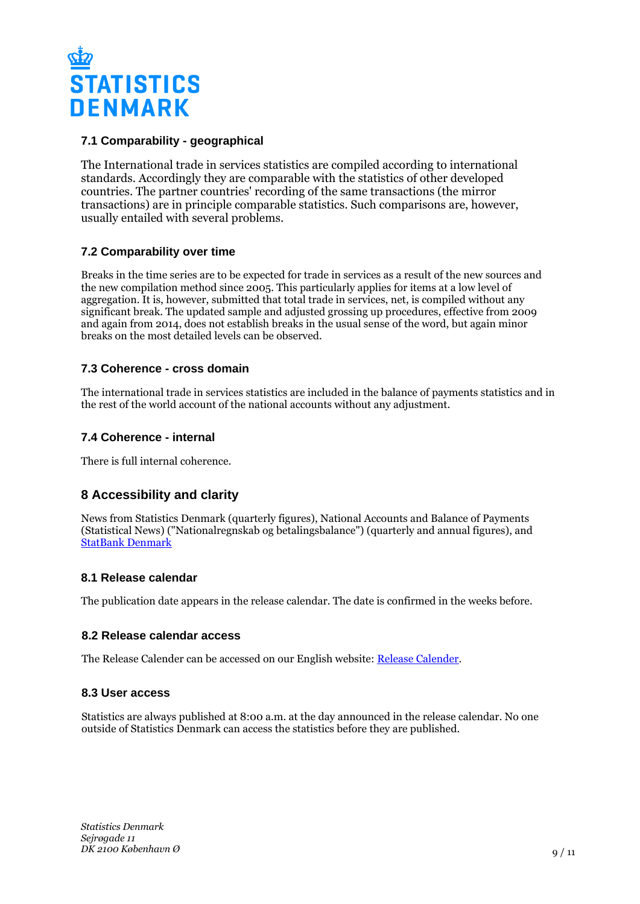

# **7.1 Comparability - geographical**

The International trade in services statistics are compiled according to international standards. Accordingly they are comparable with the statistics of other developed countries. The partner countries' recording of the same transactions (the mirror transactions) are in principle comparable statistics. Such comparisons are, however, usually entailed with several problems.

# **7.2 Comparability over time**

Breaks in the time series are to be expected for trade in services as a result of the new sources and the new compilation method since 2005. This particularly applies for items at a low level of aggregation. It is, however, submitted that total trade in services, net, is compiled without any significant break. The updated sample and adjusted grossing up procedures, effective from 2009 and again from 2014, does not establish breaks in the usual sense of the word, but again minor breaks on the most detailed levels can be observed.

## **7.3 Coherence - cross domain**

The international trade in services statistics are included in the balance of payments statistics and in the rest of the world account of the national accounts without any adjustment.

#### **7.4 Coherence - internal**

There is full internal coherence.

# **8 Accessibility and clarity**

News from Statistics Denmark (quarterly figures), National Accounts and Balance of Payments (Statistical News) ("Nationalregnskab og betalingsbalance") (quarterly and annual figures), and **[StatBank Denmark](hhttp://www.statbank.dk/statbank5a/default.asp?w=1536)** 

#### **8.1 Release calendar**

The publication date appears in the release calendar. The date is confirmed in the weeks before.

#### **8.2 Release calendar access**

The Release Calender can be accessed on our English website: [Release Calender.](https://www.dst.dk/en/Statistik/offentliggoerelser.aspx)

#### **8.3 User access**

Statistics are always published at 8:00 a.m. at the day announced in the release calendar. No one outside of Statistics Denmark can access the statistics before they are published.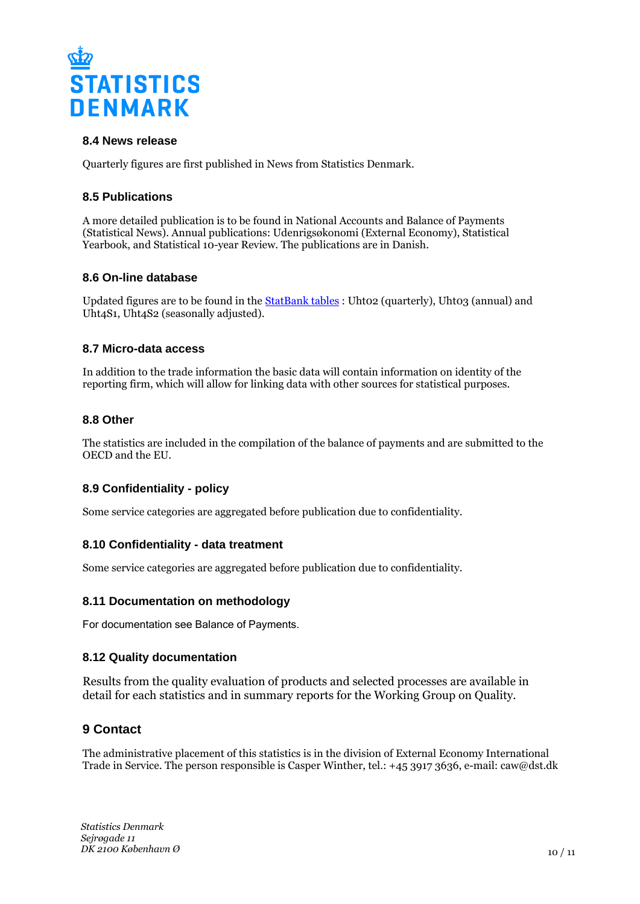

## **8.4 News release**

Quarterly figures are first published in News from Statistics Denmark.

#### **8.5 Publications**

A more detailed publication is to be found in National Accounts and Balance of Payments (Statistical News). Annual publications: Udenrigsøkonomi (External Economy), Statistical Yearbook, and Statistical 10-year Review. The publications are in Danish.

#### **8.6 On-line database**

Updated figures are to be found in the [StatBank tables](http://www.statbank.dk/statbank5a/default.asp?w=1536) : Uhto2 (quarterly), Uhto3 (annual) and Uht4S1, Uht4S2 (seasonally adjusted).

#### **8.7 Micro-data access**

In addition to the trade information the basic data will contain information on identity of the reporting firm, which will allow for linking data with other sources for statistical purposes.

#### **8.8 Other**

The statistics are included in the compilation of the balance of payments and are submitted to the OECD and the EU.

## **8.9 Confidentiality - policy**

Some service categories are aggregated before publication due to confidentiality.

## **8.10 Confidentiality - data treatment**

Some service categories are aggregated before publication due to confidentiality.

#### **8.11 Documentation on methodology**

For documentation see Balance of Payments.

#### **8.12 Quality documentation**

Results from the quality evaluation of products and selected processes are available in detail for each statistics and in summary reports for the Working Group on Quality.

## **9 Contact**

The administrative placement of this statistics is in the division of External Economy International Trade in Service. The person responsible is Casper Winther, tel.: +45 3917 3636, e-mail: caw@dst.dk